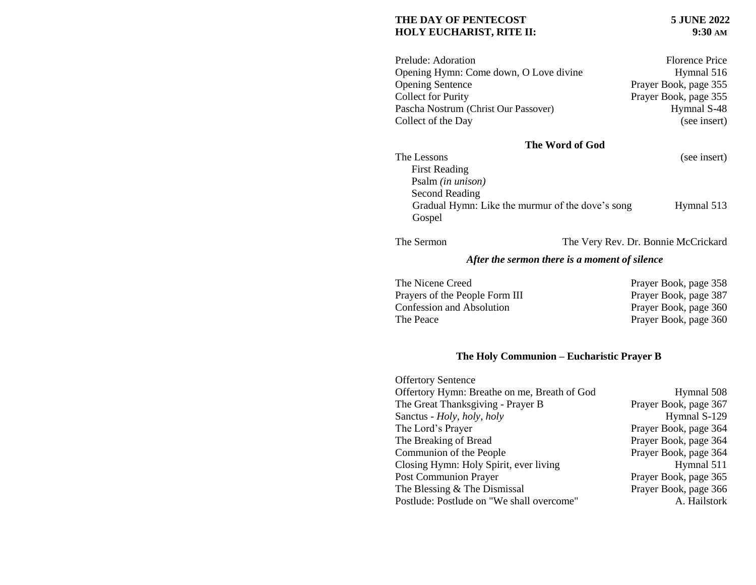#### **THE DAY OF PENTECOST 5 JUNE 2022 HOLY EUCHARIST, RITE II:** 9:30 AM

| Prelude: Adoration                     | <b>Florence Price</b> |
|----------------------------------------|-----------------------|
| Opening Hymn: Come down, O Love divine | Hymnal 516            |
| <b>Opening Sentence</b>                | Prayer Book, page 355 |
| <b>Collect for Purity</b>              | Prayer Book, page 355 |
| Pascha Nostrum (Christ Our Passover)   | Hymnal S-48           |
| Collect of the Day                     | (see insert)          |

# **The Word of God**

| The Lessons                                      | (see insert) |
|--------------------------------------------------|--------------|
| <b>First Reading</b>                             |              |
| Psalm (in unison)                                |              |
| Second Reading                                   |              |
| Gradual Hymn: Like the murmur of the dove's song | Hymnal 513   |
| Gospel                                           |              |
|                                                  |              |

The Sermon The Very Rev. Dr. Bonnie McCrickard

## *After the sermon there is a moment of silence*

| The Nicene Creed                 | Prayer Book, page 358 |
|----------------------------------|-----------------------|
| Prayers of the People Form III   | Prayer Book, page 387 |
| <b>Confession and Absolution</b> | Prayer Book, page 360 |
| The Peace                        | Prayer Book, page 360 |
|                                  |                       |

### **The Holy Communion – Eucharistic Prayer B**

| <b>Offertory Sentence</b>                    |                       |
|----------------------------------------------|-----------------------|
| Offertory Hymn: Breathe on me, Breath of God | Hymnal 508            |
| The Great Thanksgiving - Prayer B            | Prayer Book, page 367 |
| Sanctus - Holy, holy, holy                   | Hymnal S-129          |
| The Lord's Prayer                            | Prayer Book, page 364 |
| The Breaking of Bread                        | Prayer Book, page 364 |
| Communion of the People                      | Prayer Book, page 364 |
| Closing Hymn: Holy Spirit, ever living       | Hymnal 511            |
| <b>Post Communion Prayer</b>                 | Prayer Book, page 365 |
| The Blessing & The Dismissal                 | Prayer Book, page 366 |
| Postlude: Postlude on "We shall overcome"    | A. Hailstork          |